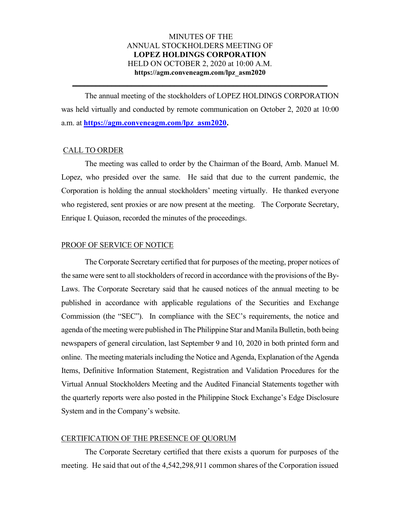# MINUTES OF THE ANNUAL STOCKHOLDERS MEETING OF LOPEZ HOLDINGS CORPORATION HELD ON OCTOBER 2, 2020 at 10:00 A.M. https://agm.conveneagm.com/lpz\_asm2020

The annual meeting of the stockholders of LOPEZ HOLDINGS CORPORATION was held virtually and conducted by remote communication on October 2, 2020 at 10:00 a.m. at https://agm.conveneagm.com/lpz\_asm2020.

\_\_\_\_\_\_\_\_\_\_\_\_\_\_\_\_\_\_\_\_\_\_\_\_\_\_\_\_\_\_\_\_\_\_\_\_\_\_\_\_\_\_\_\_\_\_\_\_\_\_\_\_\_\_\_\_\_\_\_\_\_\_\_\_\_

### CALL TO ORDER

 The meeting was called to order by the Chairman of the Board, Amb. Manuel M. Lopez, who presided over the same. He said that due to the current pandemic, the Corporation is holding the annual stockholders' meeting virtually. He thanked everyone who registered, sent proxies or are now present at the meeting. The Corporate Secretary, Enrique I. Quiason, recorded the minutes of the proceedings.

### PROOF OF SERVICE OF NOTICE

 The Corporate Secretary certified that for purposes of the meeting, proper notices of the same were sent to all stockholders of record in accordance with the provisions of the By-Laws. The Corporate Secretary said that he caused notices of the annual meeting to be published in accordance with applicable regulations of the Securities and Exchange Commission (the "SEC"). In compliance with the SEC's requirements, the notice and agenda of the meeting were published in The Philippine Star and Manila Bulletin, both being newspapers of general circulation, last September 9 and 10, 2020 in both printed form and online. The meeting materials including the Notice and Agenda, Explanation of the Agenda Items, Definitive Information Statement, Registration and Validation Procedures for the Virtual Annual Stockholders Meeting and the Audited Financial Statements together with the quarterly reports were also posted in the Philippine Stock Exchange's Edge Disclosure System and in the Company's website.

## CERTIFICATION OF THE PRESENCE OF QUORUM

 The Corporate Secretary certified that there exists a quorum for purposes of the meeting. He said that out of the 4,542,298,911 common shares of the Corporation issued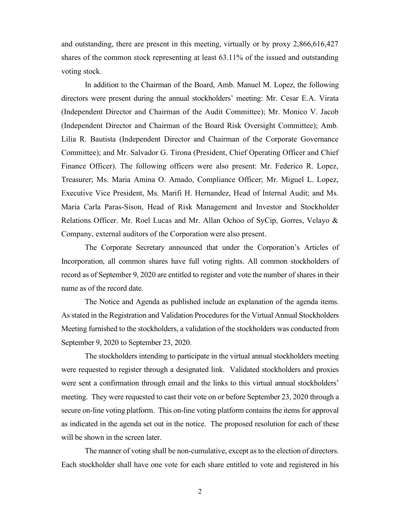and outstanding, there are present in this meeting, virtually or by proxy 2,866,616,427 shares of the common stock representing at least 63.11% of the issued and outstanding voting stock.

 In addition to the Chairman of the Board, Amb. Manuel M. Lopez, the following directors were present during the annual stockholders' meeting: Mr. Cesar E.A. Virata (Independent Director and Chairman of the Audit Committee); Mr. Monico V. Jacob (Independent Director and Chairman of the Board Risk Oversight Committee); Amb. Lilia R. Bautista (Independent Director and Chairman of the Corporate Governance Committee); and Mr. Salvador G. Tirona (President, Chief Operating Officer and Chief Finance Officer). The following officers were also present: Mr. Federico R. Lopez, Treasurer; Ms. Maria Amina O. Amado, Compliance Officer; Mr. Miguel L. Lopez, Executive Vice President, Ms. Marifi H. Hernandez, Head of Internal Audit; and Ms. Maria Carla Paras-Sison, Head of Risk Management and Investor and Stockholder Relations Officer. Mr. Roel Lucas and Mr. Allan Ochoo of SyCip, Gorres, Velayo  $\&$ Company, external auditors of the Corporation were also present.

 The Corporate Secretary announced that under the Corporation's Articles of Incorporation, all common shares have full voting rights. All common stockholders of record as of September 9, 2020 are entitled to register and vote the number of shares in their name as of the record date.

 The Notice and Agenda as published include an explanation of the agenda items. As stated in the Registration and Validation Procedures for the Virtual Annual Stockholders Meeting furnished to the stockholders, a validation of the stockholders was conducted from September 9, 2020 to September 23, 2020.

The stockholders intending to participate in the virtual annual stockholders meeting were requested to register through a designated link. Validated stockholders and proxies were sent a confirmation through email and the links to this virtual annual stockholders' meeting. They were requested to cast their vote on or before September 23, 2020 through a secure on-line voting platform. This on-line voting platform contains the items for approval as indicated in the agenda set out in the notice. The proposed resolution for each of these will be shown in the screen later.

The manner of voting shall be non-cumulative, except as to the election of directors. Each stockholder shall have one vote for each share entitled to vote and registered in his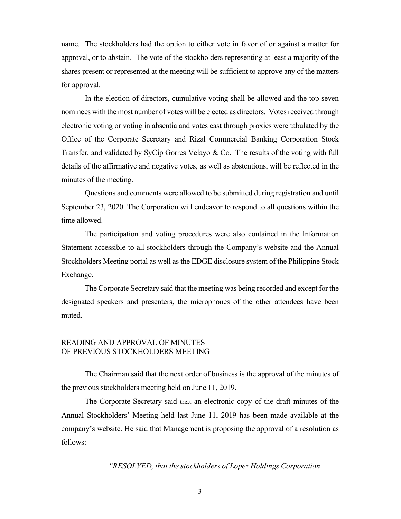name. The stockholders had the option to either vote in favor of or against a matter for approval, or to abstain. The vote of the stockholders representing at least a majority of the shares present or represented at the meeting will be sufficient to approve any of the matters for approval.

 In the election of directors, cumulative voting shall be allowed and the top seven nominees with the most number of votes will be elected as directors. Votes received through electronic voting or voting in absentia and votes cast through proxies were tabulated by the Office of the Corporate Secretary and Rizal Commercial Banking Corporation Stock Transfer, and validated by SyCip Gorres Velayo & Co. The results of the voting with full details of the affirmative and negative votes, as well as abstentions, will be reflected in the minutes of the meeting.

Questions and comments were allowed to be submitted during registration and until September 23, 2020. The Corporation will endeavor to respond to all questions within the time allowed.

The participation and voting procedures were also contained in the Information Statement accessible to all stockholders through the Company's website and the Annual Stockholders Meeting portal as well as the EDGE disclosure system of the Philippine Stock Exchange.

The Corporate Secretary said that the meeting was being recorded and except for the designated speakers and presenters, the microphones of the other attendees have been muted.

# READING AND APPROVAL OF MINUTES OF PREVIOUS STOCKHOLDERS MEETING

 The Chairman said that the next order of business is the approval of the minutes of the previous stockholders meeting held on June 11, 2019.

 The Corporate Secretary said that an electronic copy of the draft minutes of the Annual Stockholders' Meeting held last June 11, 2019 has been made available at the company's website. He said that Management is proposing the approval of a resolution as follows:

## "RESOLVED, that the stockholders of Lopez Holdings Corporation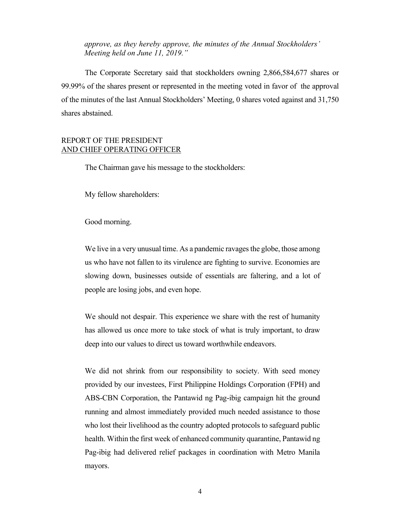approve, as they hereby approve, the minutes of the Annual Stockholders' Meeting held on June 11, 2019."

 The Corporate Secretary said that stockholders owning 2,866,584,677 shares or 99.99% of the shares present or represented in the meeting voted in favor of the approval of the minutes of the last Annual Stockholders' Meeting, 0 shares voted against and 31,750 shares abstained.

# REPORT OF THE PRESIDENT AND CHIEF OPERATING OFFICER

The Chairman gave his message to the stockholders:

My fellow shareholders:

Good morning.

We live in a very unusual time. As a pandemic ravages the globe, those among us who have not fallen to its virulence are fighting to survive. Economies are slowing down, businesses outside of essentials are faltering, and a lot of people are losing jobs, and even hope.

We should not despair. This experience we share with the rest of humanity has allowed us once more to take stock of what is truly important, to draw deep into our values to direct us toward worthwhile endeavors.

We did not shrink from our responsibility to society. With seed money provided by our investees, First Philippine Holdings Corporation (FPH) and ABS-CBN Corporation, the Pantawid ng Pag-ibig campaign hit the ground running and almost immediately provided much needed assistance to those who lost their livelihood as the country adopted protocols to safeguard public health. Within the first week of enhanced community quarantine, Pantawid ng Pag-ibig had delivered relief packages in coordination with Metro Manila mayors.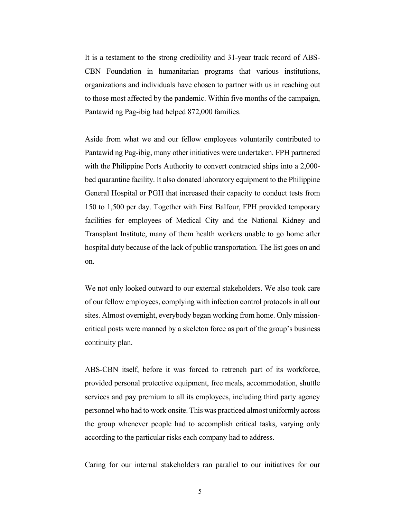It is a testament to the strong credibility and 31-year track record of ABS-CBN Foundation in humanitarian programs that various institutions, organizations and individuals have chosen to partner with us in reaching out to those most affected by the pandemic. Within five months of the campaign, Pantawid ng Pag-ibig had helped 872,000 families.

Aside from what we and our fellow employees voluntarily contributed to Pantawid ng Pag-ibig, many other initiatives were undertaken. FPH partnered with the Philippine Ports Authority to convert contracted ships into a 2,000bed quarantine facility. It also donated laboratory equipment to the Philippine General Hospital or PGH that increased their capacity to conduct tests from 150 to 1,500 per day. Together with First Balfour, FPH provided temporary facilities for employees of Medical City and the National Kidney and Transplant Institute, many of them health workers unable to go home after hospital duty because of the lack of public transportation. The list goes on and on.

We not only looked outward to our external stakeholders. We also took care of our fellow employees, complying with infection control protocols in all our sites. Almost overnight, everybody began working from home. Only missioncritical posts were manned by a skeleton force as part of the group's business continuity plan.

ABS-CBN itself, before it was forced to retrench part of its workforce, provided personal protective equipment, free meals, accommodation, shuttle services and pay premium to all its employees, including third party agency personnel who had to work onsite. This was practiced almost uniformly across the group whenever people had to accomplish critical tasks, varying only according to the particular risks each company had to address.

Caring for our internal stakeholders ran parallel to our initiatives for our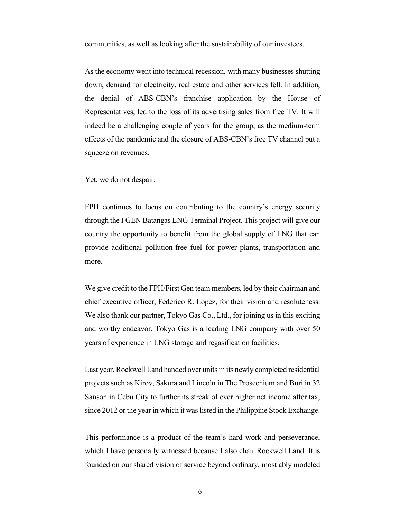communities, as well as looking after the sustainability of our investees.

As the economy went into technical recession, with many businesses shutting down, demand for electricity, real estate and other services fell. In addition, the denial of ABS-CBN's franchise application by the House of Representatives, led to the loss of its advertising sales from free TV. It will indeed be a challenging couple of years for the group, as the medium-term effects of the pandemic and the closure of ABS-CBN's free TV channel put a squeeze on revenues.

Yet, we do not despair.

FPH continues to focus on contributing to the country's energy security through the FGEN Batangas LNG Terminal Project. This project will give our country the opportunity to benefit from the global supply of LNG that can provide additional pollution-free fuel for power plants, transportation and more.

We give credit to the FPH/First Gen team members, led by their chairman and chief executive officer, Federico R. Lopez, for their vision and resoluteness. We also thank our partner, Tokyo Gas Co., Ltd., for joining us in this exciting and worthy endeavor. Tokyo Gas is a leading LNG company with over 50 years of experience in LNG storage and regasification facilities.

Last year, Rockwell Land handed over units in its newly completed residential projects such as Kirov, Sakura and Lincoln in The Proscenium and Buri in 32 Sanson in Cebu City to further its streak of ever higher net income after tax, since 2012 or the year in which it was listed in the Philippine Stock Exchange.

This performance is a product of the team's hard work and perseverance, which I have personally witnessed because I also chair Rockwell Land. It is founded on our shared vision of service beyond ordinary, most ably modeled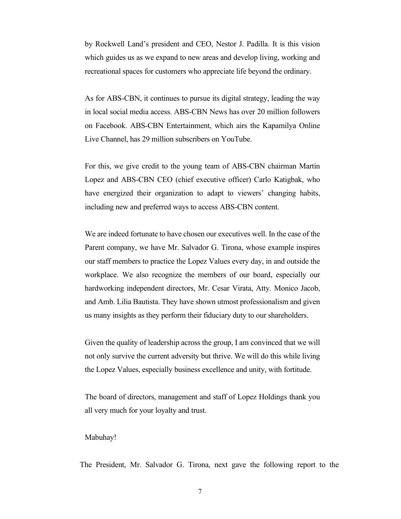by Rockwell Land's president and CEO, Nestor J. Padilla. It is this vision which guides us as we expand to new areas and develop living, working and recreational spaces for customers who appreciate life beyond the ordinary.

As for ABS-CBN, it continues to pursue its digital strategy, leading the way in local social media access. ABS-CBN News has over 20 million followers on Facebook. ABS-CBN Entertainment, which airs the Kapamilya Online Live Channel, has 29 million subscribers on YouTube.

For this, we give credit to the young team of ABS-CBN chairman Martin Lopez and ABS-CBN CEO (chief executive officer) Carlo Katigbak, who have energized their organization to adapt to viewers' changing habits, including new and preferred ways to access ABS-CBN content.

We are indeed fortunate to have chosen our executives well. In the case of the Parent company, we have Mr. Salvador G. Tirona, whose example inspires our staff members to practice the Lopez Values every day, in and outside the workplace. We also recognize the members of our board, especially our hardworking independent directors, Mr. Cesar Virata, Atty. Monico Jacob, and Amb. Lilia Bautista. They have shown utmost professionalism and given us many insights as they perform their fiduciary duty to our shareholders.

Given the quality of leadership across the group, I am convinced that we will not only survive the current adversity but thrive. We will do this while living the Lopez Values, especially business excellence and unity, with fortitude.

The board of directors, management and staff of Lopez Holdings thank you all very much for your loyalty and trust.

#### Mabuhay!

The President, Mr. Salvador G. Tirona, next gave the following report to the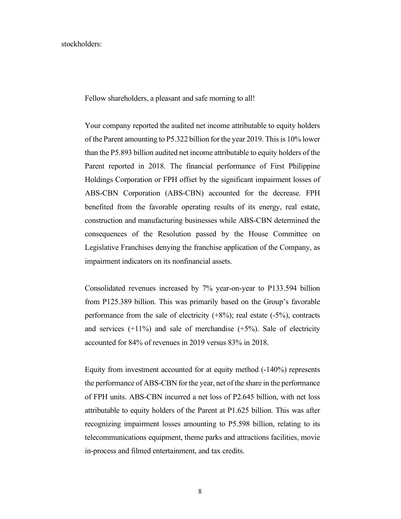## stockholders:

Fellow shareholders, a pleasant and safe morning to all!

Your company reported the audited net income attributable to equity holders of the Parent amounting to P5.322 billion for the year 2019. This is 10% lower than the P5.893 billion audited net income attributable to equity holders of the Parent reported in 2018. The financial performance of First Philippine Holdings Corporation or FPH offset by the significant impairment losses of ABS-CBN Corporation (ABS-CBN) accounted for the decrease. FPH benefited from the favorable operating results of its energy, real estate, construction and manufacturing businesses while ABS-CBN determined the consequences of the Resolution passed by the House Committee on Legislative Franchises denying the franchise application of the Company, as impairment indicators on its nonfinancial assets.

Consolidated revenues increased by 7% year-on-year to P133.594 billion from P125.389 billion. This was primarily based on the Group's favorable performance from the sale of electricity  $(+8%)$ ; real estate  $(-5%)$ , contracts and services  $(+11%)$  and sale of merchandise  $(+5%)$ . Sale of electricity accounted for 84% of revenues in 2019 versus 83% in 2018.

Equity from investment accounted for at equity method (-140%) represents the performance of ABS-CBN for the year, net of the share in the performance of FPH units. ABS-CBN incurred a net loss of P2.645 billion, with net loss attributable to equity holders of the Parent at P1.625 billion. This was after recognizing impairment losses amounting to P5.598 billion, relating to its telecommunications equipment, theme parks and attractions facilities, movie in-process and filmed entertainment, and tax credits.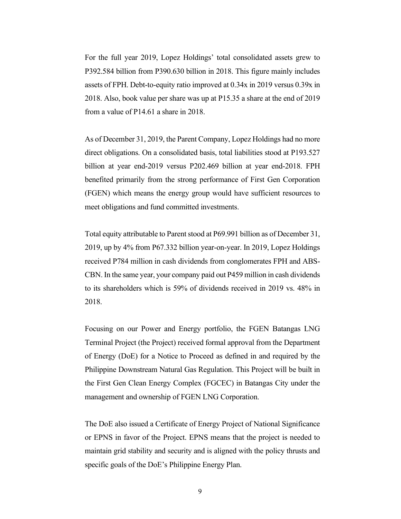For the full year 2019, Lopez Holdings' total consolidated assets grew to P392.584 billion from P390.630 billion in 2018. This figure mainly includes assets of FPH. Debt-to-equity ratio improved at 0.34x in 2019 versus 0.39x in 2018. Also, book value per share was up at P15.35 a share at the end of 2019 from a value of P14.61 a share in 2018.

As of December 31, 2019, the Parent Company, Lopez Holdings had no more direct obligations. On a consolidated basis, total liabilities stood at P193.527 billion at year end-2019 versus P202.469 billion at year end-2018. FPH benefited primarily from the strong performance of First Gen Corporation (FGEN) which means the energy group would have sufficient resources to meet obligations and fund committed investments.

Total equity attributable to Parent stood at P69.991 billion as of December 31, 2019, up by 4% from P67.332 billion year-on-year. In 2019, Lopez Holdings received P784 million in cash dividends from conglomerates FPH and ABS-CBN. In the same year, your company paid out P459 million in cash dividends to its shareholders which is 59% of dividends received in 2019 vs. 48% in 2018.

Focusing on our Power and Energy portfolio, the FGEN Batangas LNG Terminal Project (the Project) received formal approval from the Department of Energy (DoE) for a Notice to Proceed as defined in and required by the Philippine Downstream Natural Gas Regulation. This Project will be built in the First Gen Clean Energy Complex (FGCEC) in Batangas City under the management and ownership of FGEN LNG Corporation.

The DoE also issued a Certificate of Energy Project of National Significance or EPNS in favor of the Project. EPNS means that the project is needed to maintain grid stability and security and is aligned with the policy thrusts and specific goals of the DoE's Philippine Energy Plan.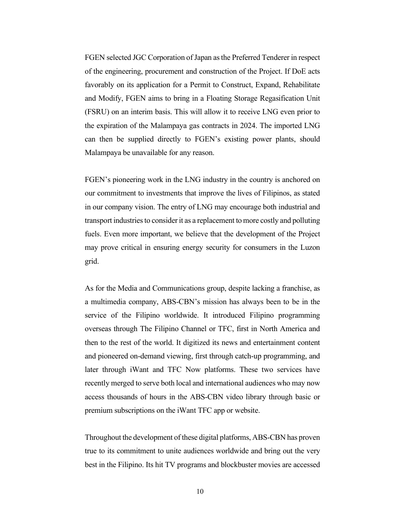FGEN selected JGC Corporation of Japan as the Preferred Tenderer in respect of the engineering, procurement and construction of the Project. If DoE acts favorably on its application for a Permit to Construct, Expand, Rehabilitate and Modify, FGEN aims to bring in a Floating Storage Regasification Unit (FSRU) on an interim basis. This will allow it to receive LNG even prior to the expiration of the Malampaya gas contracts in 2024. The imported LNG can then be supplied directly to FGEN's existing power plants, should Malampaya be unavailable for any reason.

FGEN's pioneering work in the LNG industry in the country is anchored on our commitment to investments that improve the lives of Filipinos, as stated in our company vision. The entry of LNG may encourage both industrial and transport industries to consider it as a replacement to more costly and polluting fuels. Even more important, we believe that the development of the Project may prove critical in ensuring energy security for consumers in the Luzon grid.

As for the Media and Communications group, despite lacking a franchise, as a multimedia company, ABS-CBN's mission has always been to be in the service of the Filipino worldwide. It introduced Filipino programming overseas through The Filipino Channel or TFC, first in North America and then to the rest of the world. It digitized its news and entertainment content and pioneered on-demand viewing, first through catch-up programming, and later through iWant and TFC Now platforms. These two services have recently merged to serve both local and international audiences who may now access thousands of hours in the ABS-CBN video library through basic or premium subscriptions on the iWant TFC app or website.

Throughout the development of these digital platforms, ABS-CBN has proven true to its commitment to unite audiences worldwide and bring out the very best in the Filipino. Its hit TV programs and blockbuster movies are accessed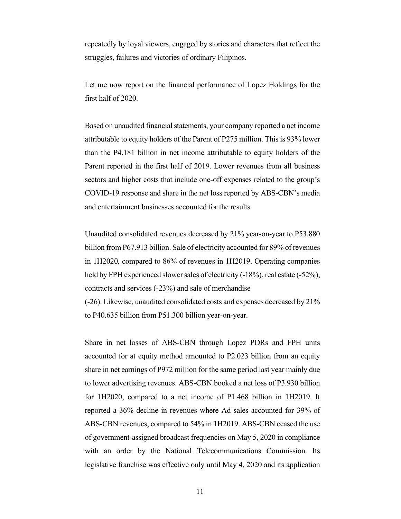repeatedly by loyal viewers, engaged by stories and characters that reflect the struggles, failures and victories of ordinary Filipinos.

Let me now report on the financial performance of Lopez Holdings for the first half of 2020.

Based on unaudited financial statements, your company reported a net income attributable to equity holders of the Parent of P275 million. This is 93% lower than the P4.181 billion in net income attributable to equity holders of the Parent reported in the first half of 2019. Lower revenues from all business sectors and higher costs that include one-off expenses related to the group's COVID-19 response and share in the net loss reported by ABS-CBN's media and entertainment businesses accounted for the results.

Unaudited consolidated revenues decreased by 21% year-on-year to P53.880 billion from P67.913 billion. Sale of electricity accounted for 89% of revenues in 1H2020, compared to 86% of revenues in 1H2019. Operating companies held by FPH experienced slower sales of electricity (-18%), real estate (-52%), contracts and services (-23%) and sale of merchandise

(-26). Likewise, unaudited consolidated costs and expenses decreased by 21% to P40.635 billion from P51.300 billion year-on-year.

Share in net losses of ABS-CBN through Lopez PDRs and FPH units accounted for at equity method amounted to P2.023 billion from an equity share in net earnings of P972 million for the same period last year mainly due to lower advertising revenues. ABS-CBN booked a net loss of P3.930 billion for 1H2020, compared to a net income of P1.468 billion in 1H2019. It reported a 36% decline in revenues where Ad sales accounted for 39% of ABS-CBN revenues, compared to 54% in 1H2019. ABS-CBN ceased the use of government-assigned broadcast frequencies on May 5, 2020 in compliance with an order by the National Telecommunications Commission. Its legislative franchise was effective only until May 4, 2020 and its application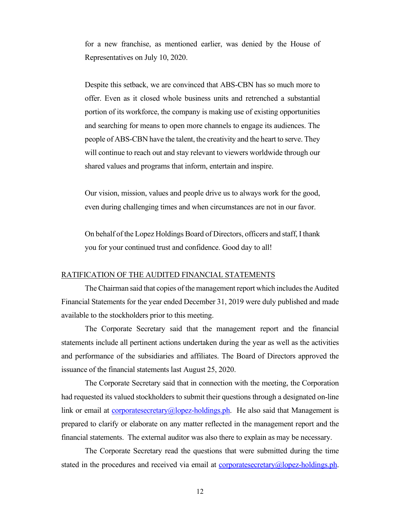for a new franchise, as mentioned earlier, was denied by the House of Representatives on July 10, 2020.

Despite this setback, we are convinced that ABS-CBN has so much more to offer. Even as it closed whole business units and retrenched a substantial portion of its workforce, the company is making use of existing opportunities and searching for means to open more channels to engage its audiences. The people of ABS-CBN have the talent, the creativity and the heart to serve. They will continue to reach out and stay relevant to viewers worldwide through our shared values and programs that inform, entertain and inspire.

Our vision, mission, values and people drive us to always work for the good, even during challenging times and when circumstances are not in our favor.

On behalf of the Lopez Holdings Board of Directors, officers and staff, I thank you for your continued trust and confidence. Good day to all!

## RATIFICATION OF THE AUDITED FINANCIAL STATEMENTS

 The Chairman said that copies of the management report which includes the Audited Financial Statements for the year ended December 31, 2019 were duly published and made available to the stockholders prior to this meeting.

 The Corporate Secretary said that the management report and the financial statements include all pertinent actions undertaken during the year as well as the activities and performance of the subsidiaries and affiliates. The Board of Directors approved the issuance of the financial statements last August 25, 2020.

 The Corporate Secretary said that in connection with the meeting, the Corporation had requested its valued stockholders to submit their questions through a designated on-line link or email at corporatesecretary ( $\hat{\omega}$ lopez-holdings.ph. He also said that Management is prepared to clarify or elaborate on any matter reflected in the management report and the financial statements. The external auditor was also there to explain as may be necessary.

 The Corporate Secretary read the questions that were submitted during the time stated in the procedures and received via email at corporatesecretary $\omega$ lopez-holdings.ph.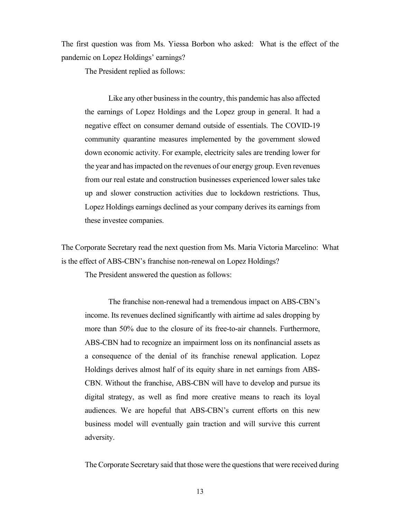The first question was from Ms. Yiessa Borbon who asked: What is the effect of the pandemic on Lopez Holdings' earnings?

The President replied as follows:

 Like any other business in the country, this pandemic has also affected the earnings of Lopez Holdings and the Lopez group in general. It had a negative effect on consumer demand outside of essentials. The COVID-19 community quarantine measures implemented by the government slowed down economic activity. For example, electricity sales are trending lower for the year and has impacted on the revenues of our energy group. Even revenues from our real estate and construction businesses experienced lower sales take up and slower construction activities due to lockdown restrictions. Thus, Lopez Holdings earnings declined as your company derives its earnings from these investee companies.

The Corporate Secretary read the next question from Ms. Maria Victoria Marcelino: What is the effect of ABS-CBN's franchise non-renewal on Lopez Holdings?

The President answered the question as follows:

 The franchise non-renewal had a tremendous impact on ABS-CBN's income. Its revenues declined significantly with airtime ad sales dropping by more than 50% due to the closure of its free-to-air channels. Furthermore, ABS-CBN had to recognize an impairment loss on its nonfinancial assets as a consequence of the denial of its franchise renewal application. Lopez Holdings derives almost half of its equity share in net earnings from ABS-CBN. Without the franchise, ABS-CBN will have to develop and pursue its digital strategy, as well as find more creative means to reach its loyal audiences. We are hopeful that ABS-CBN's current efforts on this new business model will eventually gain traction and will survive this current adversity.

The Corporate Secretary said that those were the questions that were received during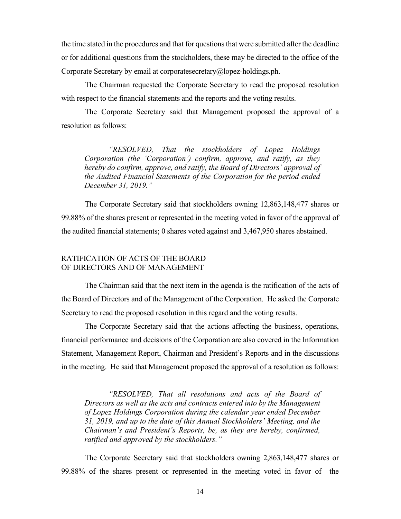the time stated in the procedures and that for questions that were submitted after the deadline or for additional questions from the stockholders, these may be directed to the office of the Corporate Secretary by email at corporatesecretary@lopez-holdings.ph.

 The Chairman requested the Corporate Secretary to read the proposed resolution with respect to the financial statements and the reports and the voting results.

 The Corporate Secretary said that Management proposed the approval of a resolution as follows:

 "RESOLVED, That the stockholders of Lopez Holdings Corporation (the 'Corporation') confirm, approve, and ratify, as they hereby do confirm, approve, and ratify, the Board of Directors' approval of the Audited Financial Statements of the Corporation for the period ended December 31, 2019."

 The Corporate Secretary said that stockholders owning 12,863,148,477 shares or 99.88% of the shares present or represented in the meeting voted in favor of the approval of the audited financial statements; 0 shares voted against and 3,467,950 shares abstained.

## RATIFICATION OF ACTS OF THE BOARD OF DIRECTORS AND OF MANAGEMENT

 The Chairman said that the next item in the agenda is the ratification of the acts of the Board of Directors and of the Management of the Corporation. He asked the Corporate Secretary to read the proposed resolution in this regard and the voting results.

 The Corporate Secretary said that the actions affecting the business, operations, financial performance and decisions of the Corporation are also covered in the Information Statement, Management Report, Chairman and President's Reports and in the discussions in the meeting. He said that Management proposed the approval of a resolution as follows:

 "RESOLVED, That all resolutions and acts of the Board of Directors as well as the acts and contracts entered into by the Management of Lopez Holdings Corporation during the calendar year ended December 31, 2019, and up to the date of this Annual Stockholders' Meeting, and the Chairman's and President's Reports, be, as they are hereby, confirmed, ratified and approved by the stockholders."

The Corporate Secretary said that stockholders owning 2,863,148,477 shares or 99.88% of the shares present or represented in the meeting voted in favor of the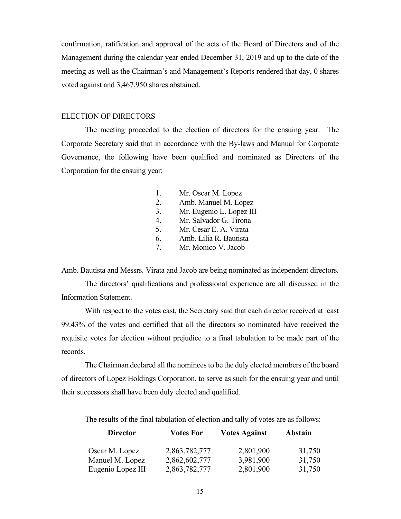confirmation, ratification and approval of the acts of the Board of Directors and of the Management during the calendar year ended December 31, 2019 and up to the date of the meeting as well as the Chairman's and Management's Reports rendered that day, 0 shares voted against and 3,467,950 shares abstained.

## ELECTION OF DIRECTORS

 The meeting proceeded to the election of directors for the ensuing year. The Corporate Secretary said that in accordance with the By-laws and Manual for Corporate Governance, the following have been qualified and nominated as Directors of the Corporation for the ensuing year:

- 1. Mr. Oscar M. Lopez
- 2. Amb. Manuel M. Lopez
- 3. Mr. Eugenio L. Lopez III
- 4. Mr. Salvador G. Tirona
- 5. Mr. Cesar E. A. Virata
- 6. Amb. Lilia R. Bautista
- 7. Mr. Monico V. Jacob

Amb. Bautista and Messrs. Virata and Jacob are being nominated as independent directors.

 The directors' qualifications and professional experience are all discussed in the Information Statement.

 With respect to the votes cast, the Secretary said that each director received at least 99.43% of the votes and certified that all the directors so nominated have received the requisite votes for election without prejudice to a final tabulation to be made part of the records.

 The Chairman declared all the nominees to be the duly elected members of the board of directors of Lopez Holdings Corporation, to serve as such for the ensuing year and until their successors shall have been duly elected and qualified.

The results of the final tabulation of election and tally of votes are as follows:

| <b>Director</b>   | <b>Votes For</b> | <b>Votes Against</b> | Abstain |
|-------------------|------------------|----------------------|---------|
| Oscar M. Lopez    | 2,863,782,777    | 2,801,900            | 31,750  |
| Manuel M. Lopez   | 2,862,602,777    | 3,981,900            | 31,750  |
| Eugenio Lopez III | 2,863,782,777    | 2,801,900            | 31,750  |